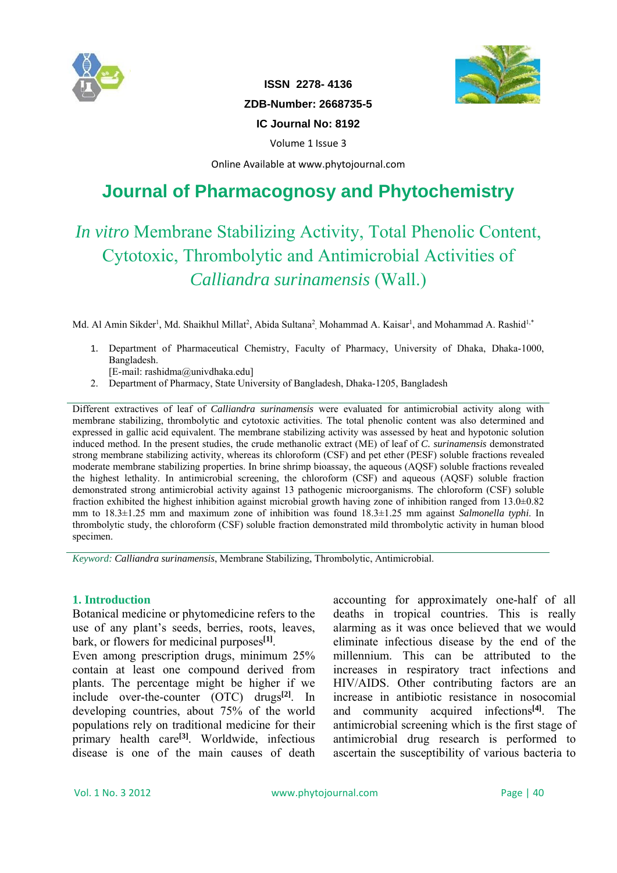



**ISSN 2278- 4136 ZDB-Number: 2668735-5 IC Journal No: 8192** 

Volume 1 Issue 3

Online Available at www.phytojournal.com

# **Journal of Pharmacognosy and Phytochemistry**

# *In vitro* Membrane Stabilizing Activity, Total Phenolic Content, Cytotoxic, Thrombolytic and Antimicrobial Activities of *Calliandra surinamensis* (Wall.)

Md. Al Amin Sikder<sup>1</sup>, Md. Shaikhul Millat<sup>2</sup>, Abida Sultana<sup>2</sup>, Mohammad A. Kaisar<sup>1</sup>, and Mohammad A. Rashid<sup>1,\*</sup>

1. Department of Pharmaceutical Chemistry, Faculty of Pharmacy, University of Dhaka, Dhaka-1000, Bangladesh.

[E-mail: rashidma@univdhaka.edu]

2. Department of Pharmacy, State University of Bangladesh, Dhaka-1205, Bangladesh

Different extractives of leaf of *Calliandra surinamensis* were evaluated for antimicrobial activity along with membrane stabilizing, thrombolytic and cytotoxic activities. The total phenolic content was also determined and expressed in gallic acid equivalent. The membrane stabilizing activity was assessed by heat and hypotonic solution induced method. In the present studies, the crude methanolic extract (ME) of leaf of *C. surinamensis* demonstrated strong membrane stabilizing activity, whereas its chloroform (CSF) and pet ether (PESF) soluble fractions revealed moderate membrane stabilizing properties. In brine shrimp bioassay, the aqueous (AQSF) soluble fractions revealed the highest lethality. In antimicrobial screening, the chloroform (CSF) and aqueous (AQSF) soluble fraction demonstrated strong antimicrobial activity against 13 pathogenic microorganisms. The chloroform (CSF) soluble fraction exhibited the highest inhibition against microbial growth having zone of inhibition ranged from 13.0±0.82 mm to 18.3±1.25 mm and maximum zone of inhibition was found 18.3±1.25 mm against *Salmonella typhi*. In thrombolytic study, the chloroform (CSF) soluble fraction demonstrated mild thrombolytic activity in human blood specimen.

*Keyword: Calliandra surinamensis*, Membrane Stabilizing, Thrombolytic, Antimicrobial.

#### **1. Introduction**

Botanical medicine or phytomedicine refers to the use of any plant's seeds, berries, roots, leaves, bark, or flowers for medicinal purposes**[1]**.

Even among prescription drugs, minimum 25% contain at least one compound derived from plants. The percentage might be higher if we include over-the-counter (OTC) drugs**[2]**. In developing countries, about 75% of the world populations rely on traditional medicine for their primary health care**[3]**. Worldwide, infectious disease is one of the main causes of death

accounting for approximately one-half of all deaths in tropical countries. This is really alarming as it was once believed that we would eliminate infectious disease by the end of the millennium. This can be attributed to the increases in respiratory tract infections and HIV/AIDS. Other contributing factors are an increase in antibiotic resistance in nosocomial and community acquired infections**[4]**. The antimicrobial screening which is the first stage of antimicrobial drug research is performed to ascertain the susceptibility of various bacteria to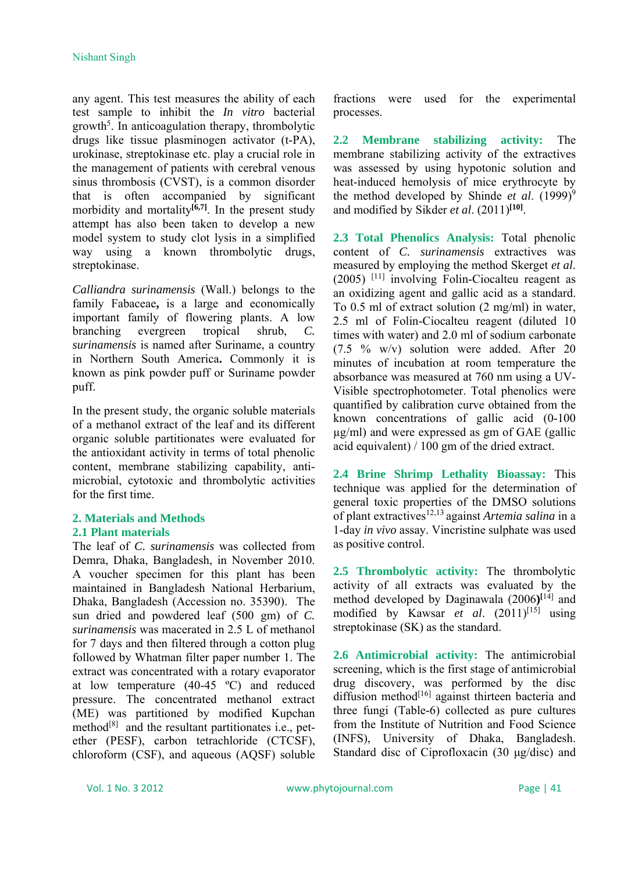any agent. This test measures the ability of each test sample to inhibit the *In vitro* bacterial growth<sup>5</sup>. In anticoagulation therapy, thrombolytic drugs like tissue plasminogen activator (t-PA), urokinase, streptokinase etc. play a crucial role in the management of patients with cerebral venous sinus thrombosis (CVST), is a common disorder that is often accompanied by significant morbidity and mortality<sup>[6,7]</sup>. In the present study attempt has also been taken to develop a new model system to study clot lysis in a simplified way using a known thrombolytic drugs, streptokinase.

*Calliandra surinamensis* (Wall.) belongs to the family Fabaceae**,** is a large and economically important family of flowering plants. A low branching evergreen tropical shrub, *C. surinamensis* is named after Suriname, a country in Northern South America**.** Commonly it is known as pink powder puff or Suriname powder puff.

In the present study, the organic soluble materials of a methanol extract of the leaf and its different organic soluble partitionates were evaluated for the antioxidant activity in terms of total phenolic content, membrane stabilizing capability, antimicrobial, cytotoxic and thrombolytic activities for the first time.

# **2. Materials and Methods 2.1 Plant materials**

The leaf of *C. surinamensis* was collected from Demra, Dhaka, Bangladesh, in November 2010. A voucher specimen for this plant has been maintained in Bangladesh National Herbarium, Dhaka, Bangladesh (Accession no. 35390). The sun dried and powdered leaf (500 gm) of *C. surinamensis* was macerated in 2.5 L of methanol for 7 days and then filtered through a cotton plug followed by Whatman filter paper number 1. The extract was concentrated with a rotary evaporator at low temperature (40-45 ºC) and reduced pressure. The concentrated methanol extract (ME) was partitioned by modified Kupchan method $[8]$  and the resultant partitionates i.e., petether (PESF), carbon tetrachloride (CTCSF), chloroform (CSF), and aqueous (AQSF) soluble fractions were used for the experimental processes.

**2.2 Membrane stabilizing activity:** The membrane stabilizing activity of the extractives was assessed by using hypotonic solution and heat-induced hemolysis of mice erythrocyte by the method developed by Shinde *et al.* (1999)<sup>9</sup> and modified by Sikder *et al*. (2011)**[10]**.

**2.3 Total Phenolics Analysis:** Total phenolic content of *C. surinamensis* extractives was measured by employing the method Skerget *et al*.  $(2005)$ <sup>[11]</sup> involving Folin-Ciocalteu reagent as an oxidizing agent and gallic acid as a standard. To 0.5 ml of extract solution (2 mg/ml) in water, 2.5 ml of Folin-Ciocalteu reagent (diluted 10 times with water) and 2.0 ml of sodium carbonate (7.5 % w/v) solution were added. After 20 minutes of incubation at room temperature the absorbance was measured at 760 nm using a UV-Visible spectrophotometer. Total phenolics were quantified by calibration curve obtained from the known concentrations of gallic acid (0-100 µg/ml) and were expressed as gm of GAE (gallic acid equivalent) / 100 gm of the dried extract.

**2.4 Brine Shrimp Lethality Bioassay:** This technique was applied for the determination of general toxic properties of the DMSO solutions of plant extractives12,13 against *Artemia salina* in a 1-day *in vivo* assay. Vincristine sulphate was used as positive control.

**2.5 Thrombolytic activity:** The thrombolytic activity of all extracts was evaluated by the method developed by Daginawala (2006**) [**14] and modified by Kawsar *et al.* (2011)<sup>[15]</sup> using streptokinase (SK) as the standard.

**2.6 Antimicrobial activity:** The antimicrobial screening, which is the first stage of antimicrobial drug discovery, was performed by the disc diffusion method $[16]$  against thirteen bacteria and three fungi (Table-6) collected as pure cultures from the Institute of Nutrition and Food Science (INFS), University of Dhaka, Bangladesh. Standard disc of Ciprofloxacin (30 μg/disc) and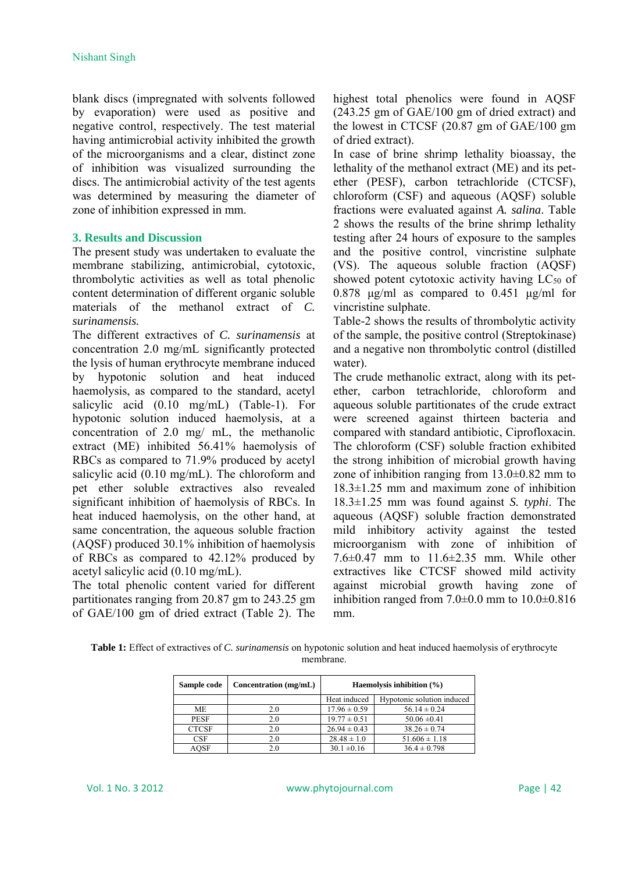blank discs (impregnated with solvents followed by evaporation) were used as positive and negative control, respectively. The test material having antimicrobial activity inhibited the growth of the microorganisms and a clear, distinct zone of inhibition was visualized surrounding the discs. The antimicrobial activity of the test agents was determined by measuring the diameter of zone of inhibition expressed in mm.

## **3. Results and Discussion**

The present study was undertaken to evaluate the membrane stabilizing, antimicrobial, cytotoxic, thrombolytic activities as well as total phenolic content determination of different organic soluble materials of the methanol extract of *C. surinamensis.*

The different extractives of *C. surinamensis* at concentration 2.0 mg/mL significantly protected the lysis of human erythrocyte membrane induced by hypotonic solution and heat induced haemolysis, as compared to the standard, acetyl salicylic acid (0.10 mg/mL) (Table-1). For hypotonic solution induced haemolysis, at a concentration of 2.0 mg/ mL, the methanolic extract (ME) inhibited 56.41% haemolysis of RBCs as compared to 71.9% produced by acetyl salicylic acid (0.10 mg/mL). The chloroform and pet ether soluble extractives also revealed significant inhibition of haemolysis of RBCs. In heat induced haemolysis, on the other hand, at same concentration, the aqueous soluble fraction (AQSF) produced 30.1% inhibition of haemolysis of RBCs as compared to 42.12% produced by acetyl salicylic acid (0.10 mg/mL).

The total phenolic content varied for different partitionates ranging from 20.87 gm to 243.25 gm of GAE/100 gm of dried extract (Table 2). The highest total phenolics were found in AQSF (243.25 gm of GAE/100 gm of dried extract) and the lowest in CTCSF (20.87 gm of GAE/100 gm of dried extract).

In case of brine shrimp lethality bioassay, the lethality of the methanol extract (ME) and its petether (PESF), carbon tetrachloride (CTCSF), chloroform (CSF) and aqueous (AQSF) soluble fractions were evaluated against *A. salina*. Table 2 shows the results of the brine shrimp lethality testing after 24 hours of exposure to the samples and the positive control, vincristine sulphate (VS). The aqueous soluble fraction (AQSF) showed potent cytotoxic activity having LC<sub>50</sub> of 0.878  $\mu$ g/ml as compared to 0.451  $\mu$ g/ml for vincristine sulphate.

Table-2 shows the results of thrombolytic activity of the sample, the positive control (Streptokinase) and a negative non thrombolytic control (distilled water).

The crude methanolic extract, along with its petether, carbon tetrachloride, chloroform and aqueous soluble partitionates of the crude extract were screened against thirteen bacteria and compared with standard antibiotic, Ciprofloxacin. The chloroform (CSF) soluble fraction exhibited the strong inhibition of microbial growth having zone of inhibition ranging from  $13.0\pm0.82$  mm to 18.3±1.25 mm and maximum zone of inhibition 18.3±1.25 mm was found against *S. typhi*. The aqueous (AQSF) soluble fraction demonstrated mild inhibitory activity against the tested microorganism with zone of inhibition of 7.6±0.47 mm to 11.6±2.35 mm. While other extractives like CTCSF showed mild activity against microbial growth having zone of inhibition ranged from  $7.0\pm0.0$  mm to  $10.0\pm0.816$ mm.

**Table 1:** Effect of extractives of *C. surinamensis* on hypotonic solution and heat induced haemolysis of erythrocyte membrane.

| Sample code  | Concentration (mg/mL) | Haemolysis inhibition $(\% )$ |                            |  |  |
|--------------|-----------------------|-------------------------------|----------------------------|--|--|
|              |                       | Heat induced                  | Hypotonic solution induced |  |  |
| МE           | 2.0                   | $17.96 \pm 0.59$              | $56.14 \pm 0.24$           |  |  |
| <b>PESF</b>  | 2.0                   | $19.77 \pm 0.51$              | $50.06 \pm 0.41$           |  |  |
| <b>CTCSF</b> | 2.0                   | $26.94 \pm 0.43$              | $38.26 \pm 0.74$           |  |  |
| CSF          | 2.0                   | $28.48 \pm 1.0$               | $51.606 \pm 1.18$          |  |  |
| <b>AQSF</b>  | 2.0                   | $30.1 \pm 0.16$               | $36.4 \pm 0.798$           |  |  |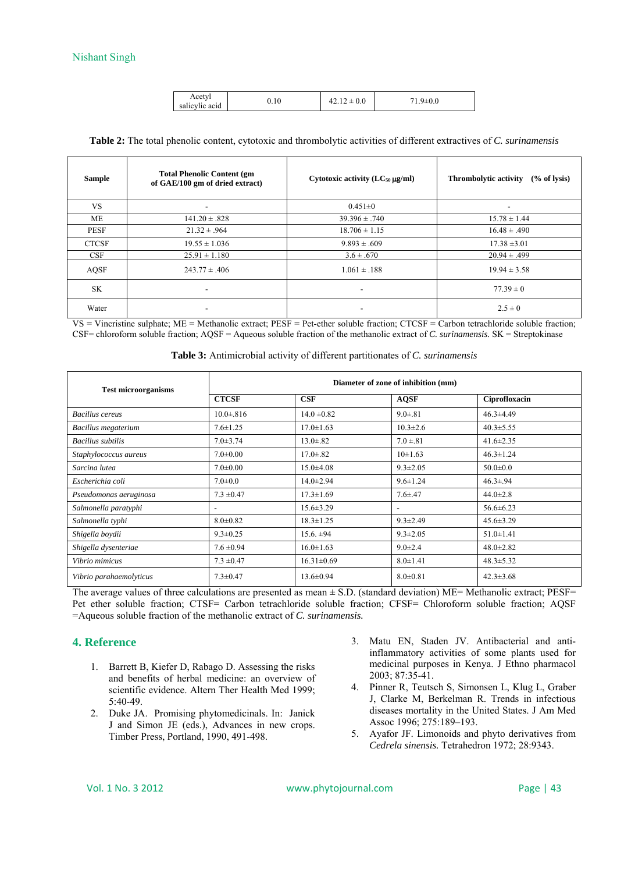|  | Acetyl<br>$\cdot$ $\cdot$<br>$\cdot$ $\cdot$<br>salicylic acid | 0.10 | v.v |  |
|--|----------------------------------------------------------------|------|-----|--|
|--|----------------------------------------------------------------|------|-----|--|

| <b>Table 2:</b> The total phenolic content, cytotoxic and thrombolytic activities of different extractives of C. surinamensis |  |  |  |  |
|-------------------------------------------------------------------------------------------------------------------------------|--|--|--|--|
|-------------------------------------------------------------------------------------------------------------------------------|--|--|--|--|

| <b>Sample</b> | <b>Total Phenolic Content (gm)</b><br>of GAE/100 gm of dried extract) | Cytotoxic activity $(LC_{50} \mu g/ml)$ | <b>Thrombolytic activity</b><br>% of lysis) |
|---------------|-----------------------------------------------------------------------|-----------------------------------------|---------------------------------------------|
| VS.           |                                                                       | $0.451 \pm 0$                           |                                             |
| МE            | $141.20 \pm .828$                                                     | $39.396 \pm .740$                       | $15.78 \pm 1.44$                            |
| <b>PESF</b>   | $21.32 \pm .964$                                                      | $18.706 \pm 1.15$                       | $16.48 \pm .490$                            |
| <b>CTCSF</b>  | $19.55 \pm 1.036$                                                     | $9.893 \pm .609$                        | $17.38 \pm 3.01$                            |
| CSF           | $25.91 \pm 1.180$                                                     | $3.6 \pm .670$                          | $20.94 \pm .499$                            |
| <b>AQSF</b>   | $243.77 \pm .406$                                                     | $1.061 \pm .188$                        | $19.94 \pm 3.58$                            |
| SK            | ٠                                                                     | $\overline{\phantom{a}}$                | $77.39 \pm 0$                               |
| Water         | $\overline{\phantom{a}}$                                              |                                         | $2.5 \pm 0$                                 |

VS = Vincristine sulphate; ME = Methanolic extract; PESF = Pet-ether soluble fraction; CTCSF = Carbon tetrachloride soluble fraction; CSF= chloroform soluble fraction; AQSF = Aqueous soluble fraction of the methanolic extract of *C. surinamensis.* SK = Streptokinase

| <b>Test microorganisms</b> | Diameter of zone of inhibition (mm) |                  |                          |                 |  |
|----------------------------|-------------------------------------|------------------|--------------------------|-----------------|--|
|                            | <b>CTCSF</b>                        | CSF              | <b>AQSF</b>              | Ciprofloxacin   |  |
| <b>Bacillus cereus</b>     | $10.0 \pm 0.816$                    | $14.0 \pm 0.82$  | $9.0 \pm .81$            | $46.3 \pm 4.49$ |  |
| Bacillus megaterium        | $7.6 \pm 1.25$                      | $17.0 \pm 1.63$  | $10.3 \pm 2.6$           | $40.3 \pm 5.55$ |  |
| <b>Bacillus</b> subtilis   | $7.0 \pm 3.74$                      | $13.0 \pm .82$   | $7.0 \pm 81$             | $41.6 \pm 2.35$ |  |
| Staphylococcus aureus      | $7.0 \pm 0.00$                      | $17.0 \pm .82$   | $10\pm 1.63$             | $46.3 \pm 1.24$ |  |
| Sarcina lutea              | $7.0 \pm 0.00$                      | $15.0 \pm 4.08$  | $9.3 \pm 2.05$           | $50.0 \pm 0.0$  |  |
| Escherichia coli           | $7.0 \pm 0.0$                       | $14.0 \pm 2.94$  | $9.6 \pm 1.24$           | $46.3 \pm .94$  |  |
| Pseudomonas aeruginosa     | $7.3 \pm 0.47$                      | $17.3 \pm 1.69$  | $7.6{\pm}0.47$           | $44.0 \pm 2.8$  |  |
| Salmonella paratyphi       | $\overline{\phantom{a}}$            | $15.6 \pm 3.29$  | $\overline{\phantom{a}}$ | $56.6 \pm 6.23$ |  |
| Salmonella typhi           | $8.0 \pm 0.82$                      | $18.3 \pm 1.25$  | $9.3 \pm 2.49$           | $45.6 \pm 3.29$ |  |
| Shigella boydii            | $9.3 \pm 0.25$                      | $15.6 \pm 94$    | $9.3 \pm 2.05$           | $51.0 \pm 1.41$ |  |
| Shigella dysenteriae       | $7.6 \pm 0.94$                      | $16.0 \pm 1.63$  | $9.0 \pm 2.4$            | $48.0 \pm 2.82$ |  |
| Vibrio mimicus             | $7.3 \pm 0.47$                      | $16.31 \pm 0.69$ | $8.0 \pm 1.41$           | $48.3 \pm 5.32$ |  |
| Vibrio parahaemolyticus    | $7.3 \pm 0.47$                      | $13.6 \pm 0.94$  | $8.0 \pm 0.81$           | $42.3 \pm 3.68$ |  |

|  | Table 3: Antimicrobial activity of different partitionates of C. surinamensis |  |  |  |  |  |
|--|-------------------------------------------------------------------------------|--|--|--|--|--|
|--|-------------------------------------------------------------------------------|--|--|--|--|--|

The average values of three calculations are presented as mean  $\pm$  S.D. (standard deviation) ME= Methanolic extract; PESF= Pet ether soluble fraction; CTSF= Carbon tetrachloride soluble fraction; CFSF= Chloroform soluble fraction; AQSF =Aqueous soluble fraction of the methanolic extract of *C. surinamensis.* 

## **4. Reference**

- 1. Barrett B, Kiefer D, Rabago D. Assessing the risks and benefits of herbal medicine: an overview of scientific evidence. Altern Ther Health Med 1999; 5:40-49.
- 2. Duke JA. Promising phytomedicinals. In: Janick J and Simon JE (eds.), Advances in new crops. Timber Press, Portland, 1990, 491-498.
- 3. Matu EN, Staden JV. Antibacterial and antiinflammatory activities of some plants used for medicinal purposes in Kenya. J Ethno pharmacol 2003; 87:35-41.
- 4. Pinner R, Teutsch S, Simonsen L, Klug L, Graber J, Clarke M, Berkelman R. Trends in infectious diseases mortality in the United States. J Am Med Assoc 1996; 275:189–193.
- 5. Ayafor JF. Limonoids and phyto derivatives from *Cedrela sinensis.* Tetrahedron 1972; 28:9343.